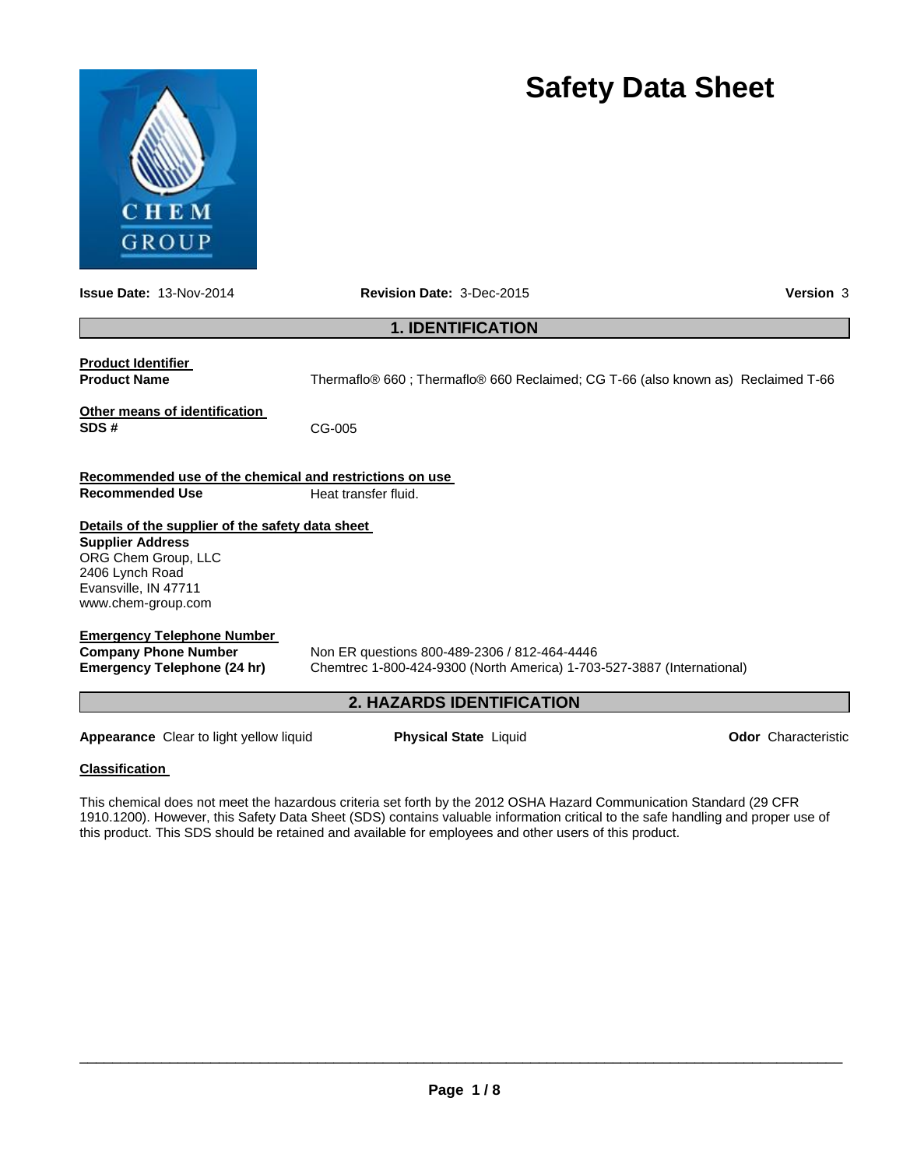

# **Safety Data Sheet**

| <b>Issue Date: 13-Nov-2014</b>                                                                                                                                      | <b>Revision Date: 3-Dec-2015</b>                                                                                       | <b>Version 3</b>           |  |  |  |
|---------------------------------------------------------------------------------------------------------------------------------------------------------------------|------------------------------------------------------------------------------------------------------------------------|----------------------------|--|--|--|
|                                                                                                                                                                     | <b>1. IDENTIFICATION</b>                                                                                               |                            |  |  |  |
| <b>Product Identifier</b><br><b>Product Name</b>                                                                                                                    | Thermaflo® 660; Thermaflo® 660 Reclaimed; CG T-66 (also known as) Reclaimed T-66                                       |                            |  |  |  |
| Other means of identification<br>SDS#                                                                                                                               | CG-005                                                                                                                 |                            |  |  |  |
| Recommended use of the chemical and restrictions on use<br><b>Recommended Use</b>                                                                                   | Heat transfer fluid.                                                                                                   |                            |  |  |  |
| Details of the supplier of the safety data sheet<br><b>Supplier Address</b><br>ORG Chem Group, LLC<br>2406 Lynch Road<br>Evansville, IN 47711<br>www.chem-group.com |                                                                                                                        |                            |  |  |  |
| <b>Emergency Telephone Number</b><br><b>Company Phone Number</b><br>Emergency Telephone (24 hr)                                                                     | Non ER questions 800-489-2306 / 812-464-4446<br>Chemtrec 1-800-424-9300 (North America) 1-703-527-3887 (International) |                            |  |  |  |
|                                                                                                                                                                     | <b>2. HAZARDS IDENTIFICATION</b>                                                                                       |                            |  |  |  |
| <b>Appearance</b> Clear to light yellow liquid                                                                                                                      | <b>Physical State Liquid</b>                                                                                           | <b>Odor</b> Characteristic |  |  |  |
| <b>Classification</b>                                                                                                                                               |                                                                                                                        |                            |  |  |  |

This chemical does not meet the hazardous criteria set forth by the 2012 OSHA Hazard Communication Standard (29 CFR 1910.1200). However, this Safety Data Sheet (SDS) contains valuable information critical to the safe handling and proper use of this product. This SDS should be retained and available for employees and other users of this product.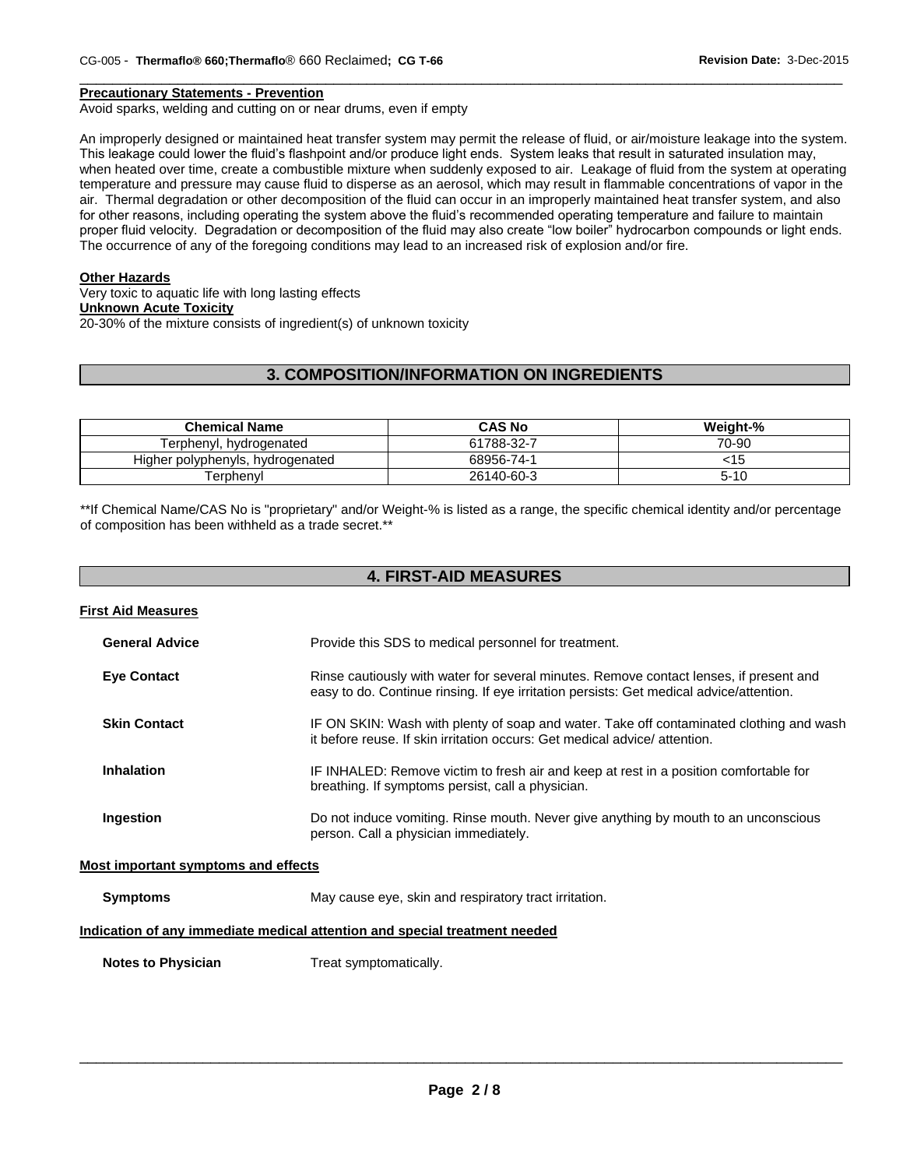#### **Precautionary Statements - Prevention**

Avoid sparks, welding and cutting on or near drums, even if empty

An improperly designed or maintained heat transfer system may permit the release of fluid, or air/moisture leakage into the system. This leakage could lower the fluid's flashpoint and/or produce light ends. System leaks that result in saturated insulation may, when heated over time, create a combustible mixture when suddenly exposed to air. Leakage of fluid from the system at operating temperature and pressure may cause fluid to disperse as an aerosol, which may result in flammable concentrations of vapor in the air. Thermal degradation or other decomposition of the fluid can occur in an improperly maintained heat transfer system, and also for other reasons, including operating the system above the fluid's recommended operating temperature and failure to maintain proper fluid velocity. Degradation or decomposition of the fluid may also create "low boiler" hydrocarbon compounds or light ends. The occurrence of any of the foregoing conditions may lead to an increased risk of explosion and/or fire.

 $\Box$ 

#### **Other Hazards**

Very toxic to aquatic life with long lasting effects **Unknown Acute Toxicity** 20-30% of the mixture consists of ingredient(s) of unknown toxicity

# **3. COMPOSITION/INFORMATION ON INGREDIENTS**

| <b>Chemical Name</b>             | <b>CAS No</b> | Weight-% |
|----------------------------------|---------------|----------|
| Ferphenvl. hvdrogenated          | 61788-32-7    | 70-90    |
| Higher polyphenyls, hydrogenated | 68956-74-1    | ະ15      |
| ⊺erɒhenvl                        | 26140-60-3    | $5 - 10$ |

\*\*If Chemical Name/CAS No is "proprietary" and/or Weight-% is listed as a range, the specific chemical identity and/or percentage of composition has been withheld as a trade secret.\*\*

# **4. FIRST-AID MEASURES**

| <b>First Aid Measures</b>           |                                                                                                                                                                                   |
|-------------------------------------|-----------------------------------------------------------------------------------------------------------------------------------------------------------------------------------|
| <b>General Advice</b>               | Provide this SDS to medical personnel for treatment.                                                                                                                              |
| <b>Eye Contact</b>                  | Rinse cautiously with water for several minutes. Remove contact lenses, if present and<br>easy to do. Continue rinsing. If eye irritation persists: Get medical advice/attention. |
| <b>Skin Contact</b>                 | IF ON SKIN: Wash with plenty of soap and water. Take off contaminated clothing and wash<br>it before reuse. If skin irritation occurs: Get medical advice/attention.              |
| <b>Inhalation</b>                   | IF INHALED: Remove victim to fresh air and keep at rest in a position comfortable for<br>breathing. If symptoms persist, call a physician.                                        |
| Ingestion                           | Do not induce vomiting. Rinse mouth. Never give anything by mouth to an unconscious<br>person. Call a physician immediately.                                                      |
| Most important symptoms and effects |                                                                                                                                                                                   |
| <b>Symptoms</b>                     | May cause eye, skin and respiratory tract irritation.                                                                                                                             |
|                                     | Indication of any immediate medical attention and special treatment needed                                                                                                        |

**Notes to Physician Treat symptomatically.**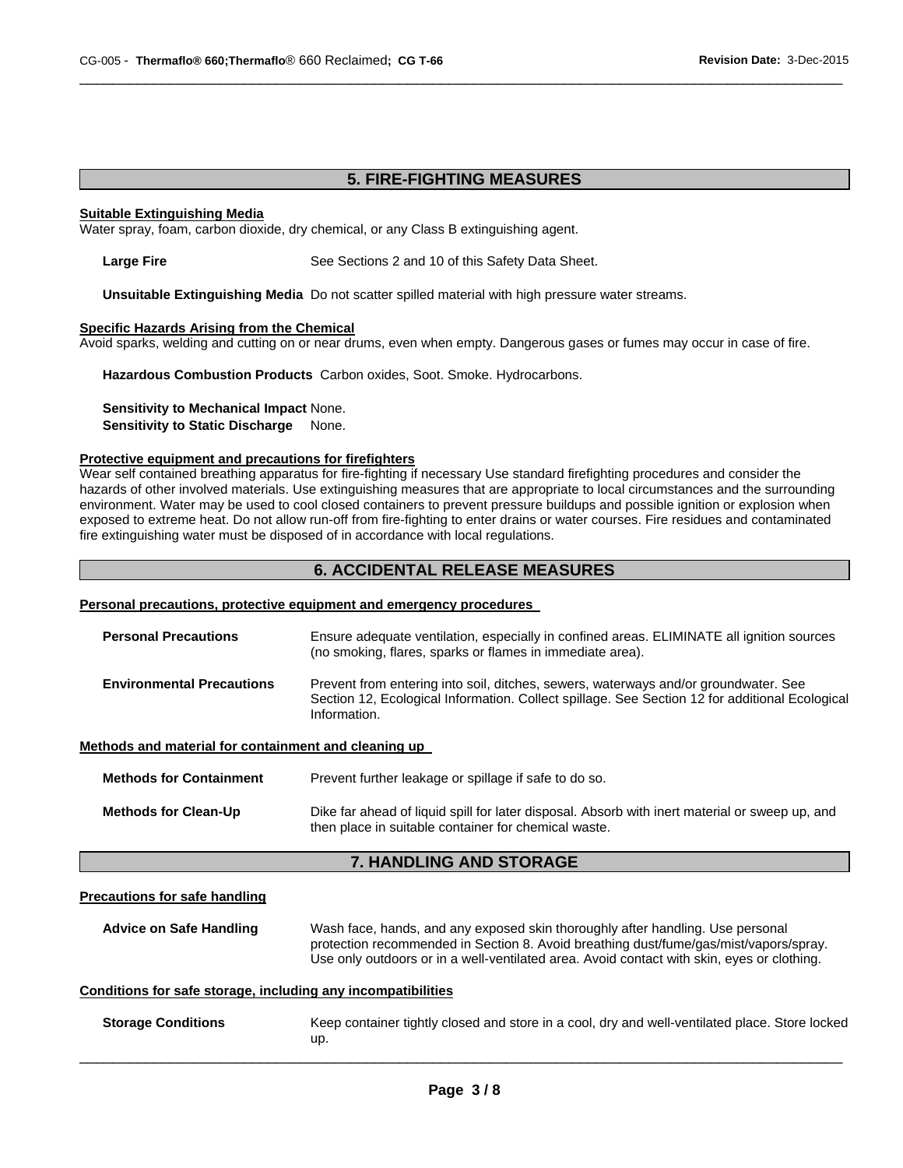# **5. FIRE-FIGHTING MEASURES**

 $\Box$ 

#### **Suitable Extinguishing Media**

Water spray, foam, carbon dioxide, dry chemical, or any Class B extinguishing agent.

**Large Fire** See Sections 2 and 10 of this Safety Data Sheet.

**Unsuitable Extinguishing Media** Do not scatter spilled material with high pressure water streams.

# **Specific Hazards Arising from the Chemical**

Avoid sparks, welding and cutting on or near drums, even when empty. Dangerous gases or fumes may occur in case of fire.

**Hazardous Combustion Products** Carbon oxides, Soot. Smoke. Hydrocarbons.

**Sensitivity to Mechanical Impact** None. **Sensitivity to Static Discharge None.** 

#### **Protective equipment and precautions for firefighters**

Wear self contained breathing apparatus for fire-fighting if necessary Use standard firefighting procedures and consider the hazards of other involved materials. Use extinguishing measures that are appropriate to local circumstances and the surrounding environment. Water may be used to cool closed containers to prevent pressure buildups and possible ignition or explosion when exposed to extreme heat. Do not allow run-off from fire-fighting to enter drains or water courses. Fire residues and contaminated fire extinguishing water must be disposed of in accordance with local regulations.

# **6. ACCIDENTAL RELEASE MEASURES**

#### **Personal precautions, protective equipment and emergency procedures**

| <b>Personal Precautions</b>                                  | Ensure adequate ventilation, especially in confined areas. ELIMINATE all ignition sources<br>(no smoking, flares, sparks or flames in immediate area).                                                                                                                |
|--------------------------------------------------------------|-----------------------------------------------------------------------------------------------------------------------------------------------------------------------------------------------------------------------------------------------------------------------|
| <b>Environmental Precautions</b>                             | Prevent from entering into soil, ditches, sewers, waterways and/or groundwater. See<br>Section 12, Ecological Information. Collect spillage. See Section 12 for additional Ecological<br>Information.                                                                 |
| Methods and material for containment and cleaning up         |                                                                                                                                                                                                                                                                       |
| <b>Methods for Containment</b>                               | Prevent further leakage or spillage if safe to do so.                                                                                                                                                                                                                 |
| <b>Methods for Clean-Up</b>                                  | Dike far ahead of liquid spill for later disposal. Absorb with inert material or sweep up, and<br>then place in suitable container for chemical waste.                                                                                                                |
|                                                              | 7. HANDLING AND STORAGE                                                                                                                                                                                                                                               |
| <b>Precautions for safe handling</b>                         |                                                                                                                                                                                                                                                                       |
| <b>Advice on Safe Handling</b>                               | Wash face, hands, and any exposed skin thoroughly after handling. Use personal<br>protection recommended in Section 8. Avoid breathing dust/fume/gas/mist/vapors/spray.<br>Use only outdoors or in a well-ventilated area. Avoid contact with skin, eyes or clothing. |
| Conditions for safe storage, including any incompatibilities |                                                                                                                                                                                                                                                                       |

| <b>Storage Conditions</b> | Keep container tightly closed and store in a cool, dry and well-ventilated place. Store locked |
|---------------------------|------------------------------------------------------------------------------------------------|
|                           | up                                                                                             |
|                           |                                                                                                |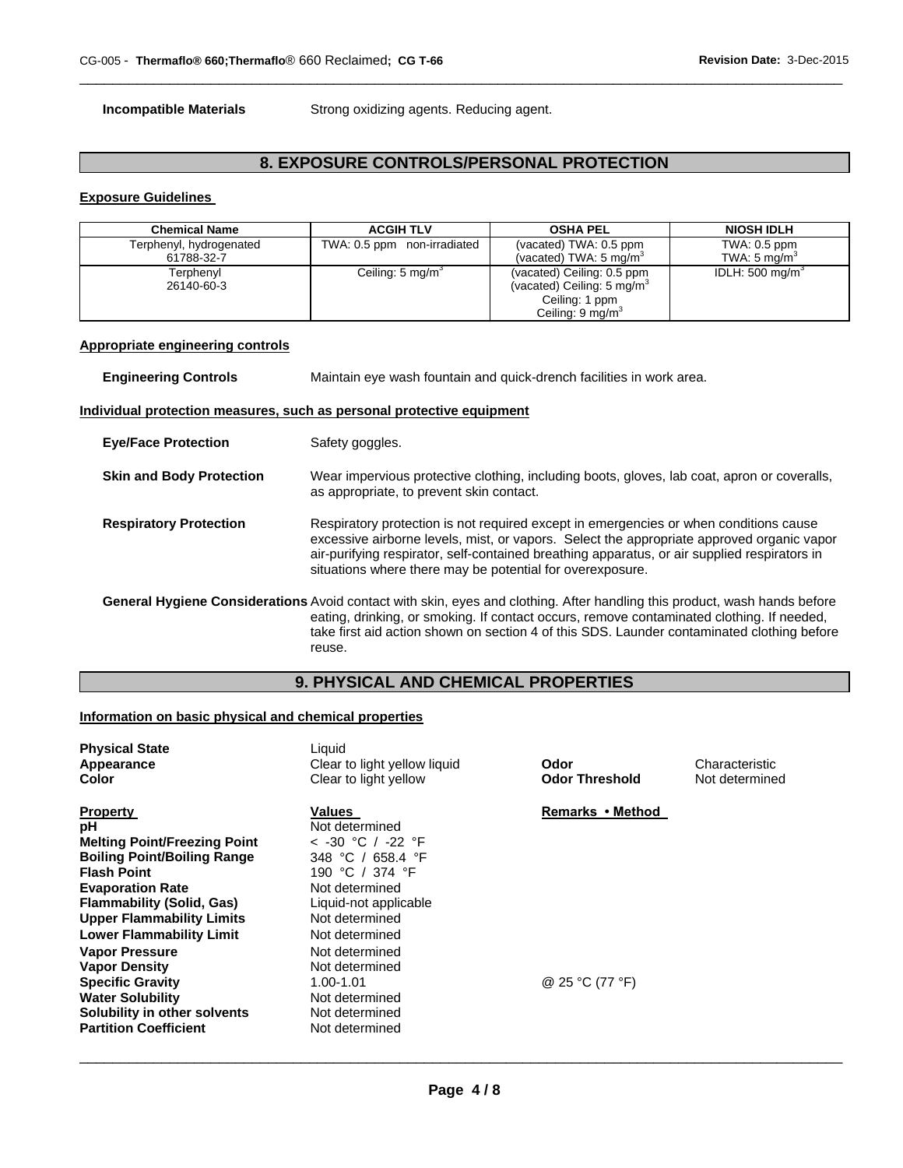**Incompatible Materials Strong oxidizing agents. Reducing agent.** 

# **8. EXPOSURE CONTROLS/PERSONAL PROTECTION**

 $\Box$ 

# **Exposure Guidelines**

| <b>Chemical Name</b>    | <b>ACGIH TLV</b>            | <b>OSHA PEL</b>                       | <b>NIOSH IDLH</b>          |
|-------------------------|-----------------------------|---------------------------------------|----------------------------|
| Terphenyl, hydrogenated | TWA: 0.5 ppm non-irradiated | (vacated) TWA: 0.5 ppm                | TWA: 0.5 ppm               |
| 61788-32-7              |                             | (vacated) TWA: 5 mg/m <sup>3</sup>    | TWA: 5 mg/m $^{\circ}$     |
| Terphenvl               | Ceiling: $5 \text{ mg/m}^3$ | (vacated) Ceiling: 0.5 ppm            | IDLH: $500 \text{ mg/m}^3$ |
| 26140-60-3              |                             | (vacated) Ceiling: $5 \text{ mg/m}^3$ |                            |
|                         |                             | Ceiling: 1 ppm                        |                            |
|                         |                             | Ceiling: $9 \text{ mg/m}^3$           |                            |

# **Appropriate engineering controls**

| <b>Engineering Controls</b>     | Maintain eye wash fountain and quick-drench facilities in work area.                                                                                                                                                                                                                                                                            |
|---------------------------------|-------------------------------------------------------------------------------------------------------------------------------------------------------------------------------------------------------------------------------------------------------------------------------------------------------------------------------------------------|
|                                 | Individual protection measures, such as personal protective equipment                                                                                                                                                                                                                                                                           |
| <b>Eye/Face Protection</b>      | Safety goggles.                                                                                                                                                                                                                                                                                                                                 |
| <b>Skin and Body Protection</b> | Wear impervious protective clothing, including boots, gloves, lab coat, apron or coveralls,<br>as appropriate, to prevent skin contact.                                                                                                                                                                                                         |
| <b>Respiratory Protection</b>   | Respiratory protection is not required except in emergencies or when conditions cause<br>excessive airborne levels, mist, or vapors. Select the appropriate approved organic vapor<br>air-purifying respirator, self-contained breathing apparatus, or air supplied respirators in<br>situations where there may be potential for overexposure. |
|                                 | General Hygiene Considerations Avoid contact with skin, eyes and clothing. After handling this product, wash hands before<br>eating, drinking, or smoking. If contact occurs, remove contaminated clothing. If needed,<br>take first aid action shown on section 4 of this SDS. Launder contaminated clothing before<br>reuse.                  |

# **9. PHYSICAL AND CHEMICAL PROPERTIES**

# **Information on basic physical and chemical properties**

| <b>Physical State</b><br>Appearance<br>Color | Liquid<br>Clear to light yellow liquid<br>Clear to light yellow | Odor<br><b>Odor Threshold</b> | Characteristic<br>Not determined |
|----------------------------------------------|-----------------------------------------------------------------|-------------------------------|----------------------------------|
| <b>Property</b>                              | Values                                                          | Remarks • Method              |                                  |
| рH                                           | Not determined                                                  |                               |                                  |
| <b>Melting Point/Freezing Point</b>          | < -30 ℃ / -22 °F                                                |                               |                                  |
| <b>Boiling Point/Boiling Range</b>           | 348 °C / 658.4 °F                                               |                               |                                  |
| <b>Flash Point</b>                           | 190 °C / 374 °F                                                 |                               |                                  |
| <b>Evaporation Rate</b>                      | Not determined                                                  |                               |                                  |
| <b>Flammability (Solid, Gas)</b>             | Liquid-not applicable                                           |                               |                                  |
| <b>Upper Flammability Limits</b>             | Not determined                                                  |                               |                                  |
| <b>Lower Flammability Limit</b>              | Not determined                                                  |                               |                                  |
| <b>Vapor Pressure</b>                        | Not determined                                                  |                               |                                  |
| <b>Vapor Density</b>                         | Not determined                                                  |                               |                                  |
| <b>Specific Gravity</b>                      | 1.00-1.01                                                       | @ 25 °C (77 °F)               |                                  |
| <b>Water Solubility</b>                      | Not determined                                                  |                               |                                  |
| Solubility in other solvents                 | Not determined                                                  |                               |                                  |
| <b>Partition Coefficient</b>                 | Not determined                                                  |                               |                                  |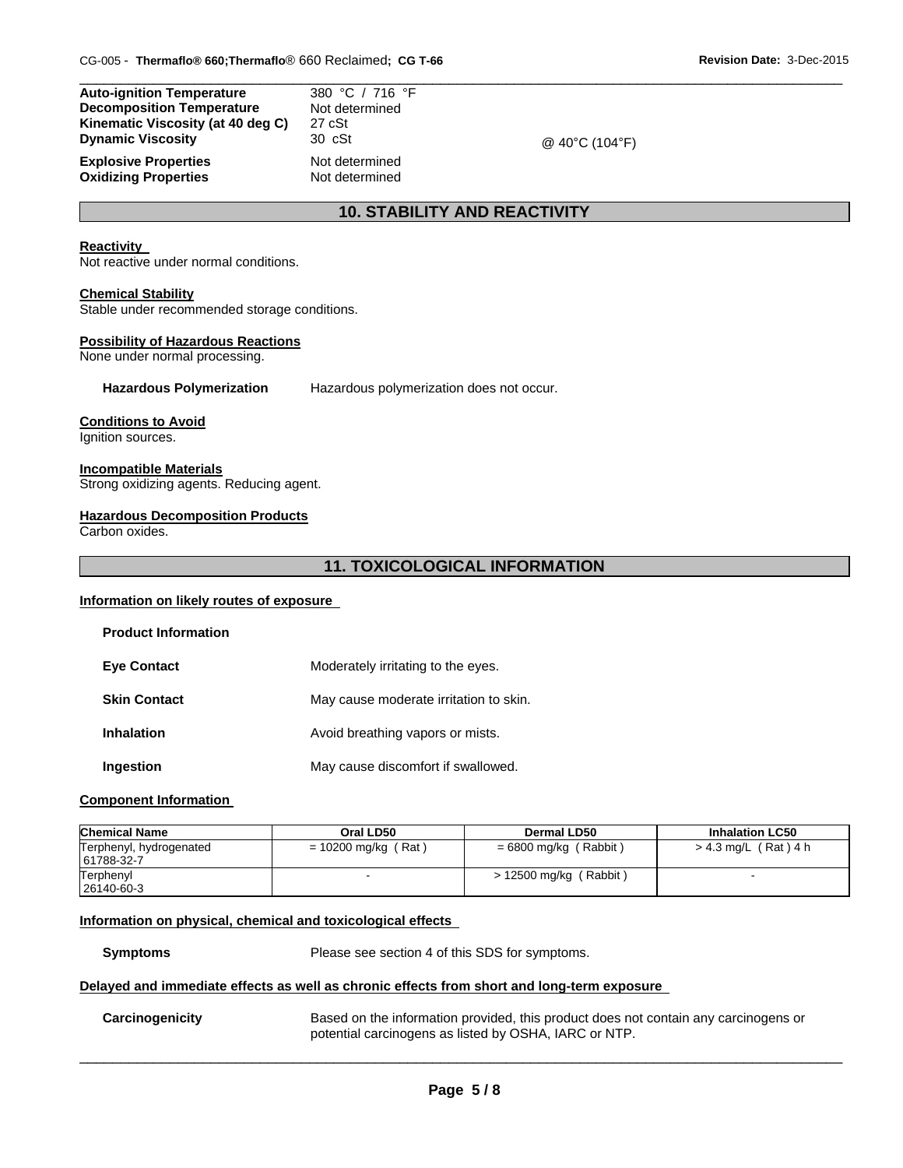| <b>Auto-ignition Temperature</b>  | 380 °C / 716 °F  |                |  |
|-----------------------------------|------------------|----------------|--|
| <b>Decomposition Temperature</b>  | Not determined   |                |  |
| Kinematic Viscosity (at 40 deg C) | 27 cSt           |                |  |
| <b>Dynamic Viscosity</b>          | $30 \text{ cSt}$ | @ 40°C (104°F) |  |
| <b>Explosive Properties</b>       | Not determined   |                |  |

**Oxidizing Properties Not determined** 

# **10. STABILITY AND REACTIVITY**

# **Reactivity**

Not reactive under normal conditions.

#### **Chemical Stability**

Stable under recommended storage conditions.

#### **Possibility of Hazardous Reactions**

None under normal processing.

**Hazardous Polymerization** Hazardous polymerization does not occur.

#### **Conditions to Avoid**

Ignition sources.

#### **Incompatible Materials**

Strong oxidizing agents. Reducing agent.

#### **Hazardous Decomposition Products**

Carbon oxides.

# **11. TOXICOLOGICAL INFORMATION**

#### **Information on likely routes of exposure**

| <b>Product Information</b> |                                        |
|----------------------------|----------------------------------------|
| <b>Eve Contact</b>         | Moderately irritating to the eyes.     |
| <b>Skin Contact</b>        | May cause moderate irritation to skin. |
| Inhalation                 | Avoid breathing vapors or mists.       |
| Ingestion                  | May cause discomfort if swallowed.     |

#### **Component Information**

| <b>Chemical Name</b>                  | Oral LD50             | Dermal LD50             | <b>Inhalation LC50</b> |
|---------------------------------------|-----------------------|-------------------------|------------------------|
| Terphenyl, hydrogenated<br>61788-32-7 | $= 10200$ mg/kg (Rat) | = 6800 mg/kg ( Rabbit ) | > 4.3 mg/L (Rat) 4 h   |
| Terphenyl<br>26140-60-3               |                       | > 12500 mg/kg (Rabbit)  |                        |

#### **Information on physical, chemical and toxicological effects**

**Symptoms** Please see section 4 of this SDS for symptoms.

#### **Delayed and immediate effects as well as chronic effects from short and long-term exposure**

**Carcinogenicity** Based on the information provided, this product does not contain any carcinogens or potential carcinogens as listed by OSHA, IARC or NTP.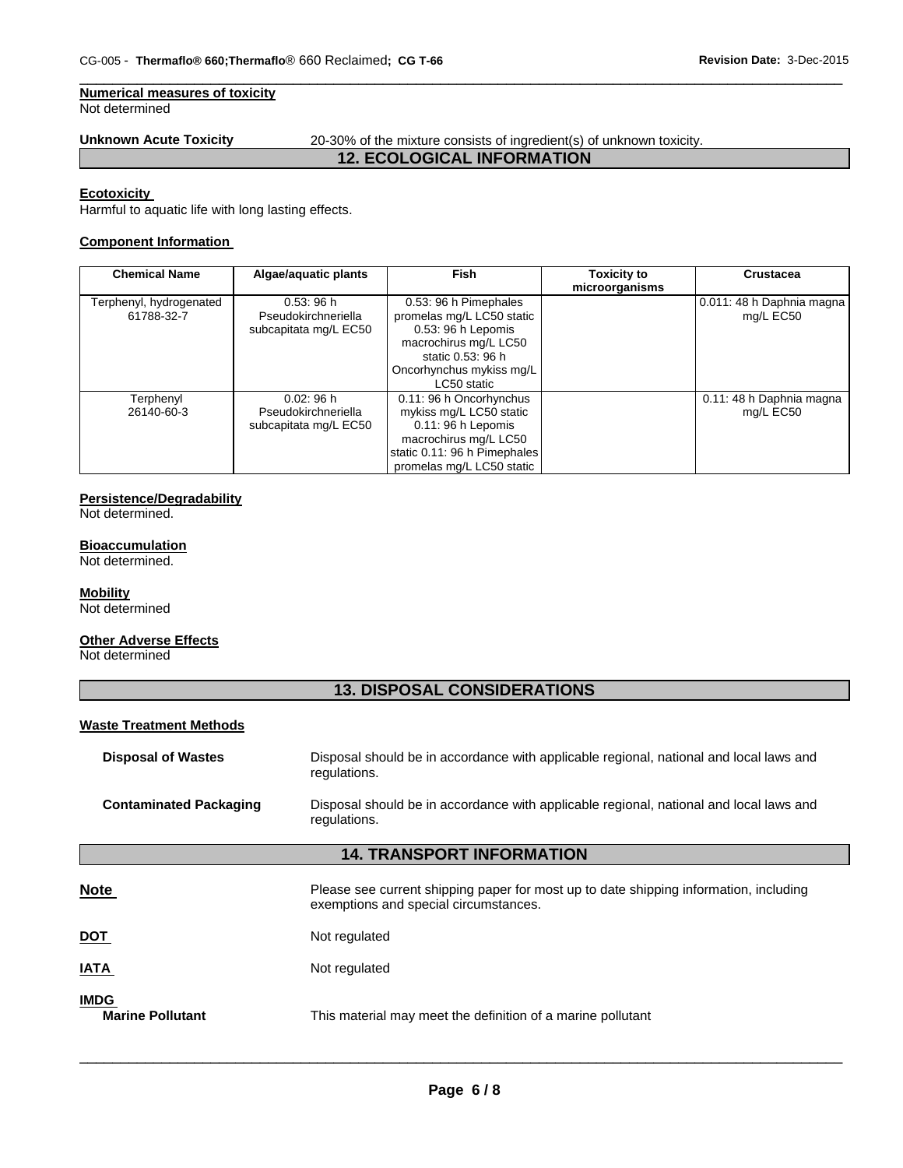# **Numerical measures of toxicity**

Not determined

**Unknown Acute Toxicity** 20-30% of the mixture consists of ingredient(s) of unknown toxicity.

# **12. ECOLOGICAL INFORMATION**

 $\Box$ 

#### **Ecotoxicity**

Harmful to aquatic life with long lasting effects.

# **Component Information**

| <b>Chemical Name</b>                  | Algae/aquatic plants                                     | <b>Fish</b>                                                                                                                                                       | <b>Toxicity to</b> | <b>Crustacea</b>                       |
|---------------------------------------|----------------------------------------------------------|-------------------------------------------------------------------------------------------------------------------------------------------------------------------|--------------------|----------------------------------------|
|                                       |                                                          |                                                                                                                                                                   | microorganisms     |                                        |
| Terphenyl, hydrogenated<br>61788-32-7 | 0.53:96h<br>Pseudokirchneriella<br>subcapitata mg/L EC50 | 0.53: 96 h Pimephales<br>promelas mg/L LC50 static<br>0.53: 96 h Lepomis<br>macrochirus mg/L LC50<br>static 0.53: 96 h<br>Oncorhynchus mykiss mg/L<br>LC50 static |                    | 0.011: 48 h Daphnia magna<br>mg/L EC50 |
| Terphenyl<br>26140-60-3               | 0.02:96h<br>Pseudokirchneriella<br>subcapitata mg/L EC50 | 0.11: 96 h Oncorhynchus<br>mykiss mg/L LC50 static<br>$0.11:96 h$ Lepomis<br>macrochirus mg/L LC50<br>static 0.11: 96 h Pimephales<br>promelas mg/L LC50 static   |                    | 0.11: 48 h Daphnia magna<br>mg/L EC50  |

#### **Persistence/Degradability**

Not determined.

# **Bioaccumulation**

Not determined.

# **Mobility**

Not determined

# **Other Adverse Effects**

Not determined

# **13. DISPOSAL CONSIDERATIONS**

# **Waste Treatment Methods**

| <b>Disposal of Wastes</b>     | Disposal should be in accordance with applicable regional, national and local laws and<br>regulations.                         |
|-------------------------------|--------------------------------------------------------------------------------------------------------------------------------|
| <b>Contaminated Packaging</b> | Disposal should be in accordance with applicable regional, national and local laws and<br>regulations.                         |
|                               | <b>14. TRANSPORT INFORMATION</b>                                                                                               |
| <u>Note</u>                   | Please see current shipping paper for most up to date shipping information, including<br>exemptions and special circumstances. |

| <b>DOT</b><br>Not regulated |  |
|-----------------------------|--|
|-----------------------------|--|

# **IATA** Not regulated

# **IMDG**

**Marine Pollutant** This material may meet the definition of a marine pollutant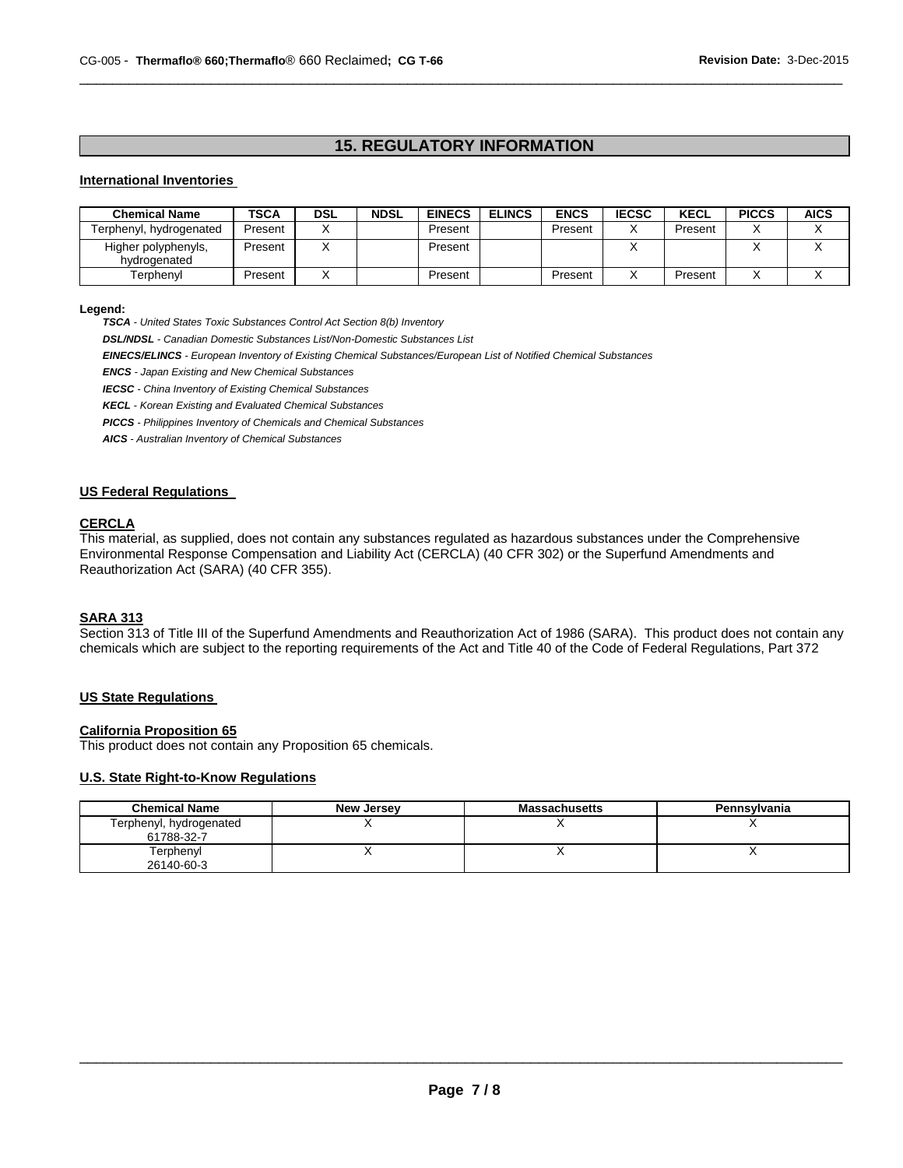# **15. REGULATORY INFORMATION**

 $\Box$ 

### **International Inventories**

| <b>Chemical Name</b>                | <b>TSCA</b> | <b>DSL</b> | <b>NDSL</b> | <b>EINECS</b> | <b>ELINCS</b> | <b>ENCS</b> | <b>IECSC</b> | <b>KECL</b> | <b>PICCS</b> | <b>AICS</b> |
|-------------------------------------|-------------|------------|-------------|---------------|---------------|-------------|--------------|-------------|--------------|-------------|
| Terphenyl, hydrogenated             | Present     |            |             | Present       |               | Present     |              | Present     |              |             |
| Higher polyphenyls,<br>hvdrogenated | Present     |            |             | Present       |               |             |              |             |              |             |
| Terphenyl                           | Present     |            |             | Present       |               | Present     |              | Present     |              |             |

#### **Legend:**

*TSCA - United States Toxic Substances Control Act Section 8(b) Inventory* 

*DSL/NDSL - Canadian Domestic Substances List/Non-Domestic Substances List* 

*EINECS/ELINCS - European Inventory of Existing Chemical Substances/European List of Notified Chemical Substances* 

*ENCS - Japan Existing and New Chemical Substances* 

*IECSC - China Inventory of Existing Chemical Substances* 

*KECL - Korean Existing and Evaluated Chemical Substances* 

*PICCS - Philippines Inventory of Chemicals and Chemical Substances* 

*AICS - Australian Inventory of Chemical Substances* 

# **US Federal Regulations**

### **CERCLA**

This material, as supplied, does not contain any substances regulated as hazardous substances under the Comprehensive Environmental Response Compensation and Liability Act (CERCLA) (40 CFR 302) or the Superfund Amendments and Reauthorization Act (SARA) (40 CFR 355).

### **SARA 313**

Section 313 of Title III of the Superfund Amendments and Reauthorization Act of 1986 (SARA). This product does not contain any chemicals which are subject to the reporting requirements of the Act and Title 40 of the Code of Federal Regulations, Part 372

# **US State Regulations**

### **California Proposition 65**

This product does not contain any Proposition 65 chemicals.

# **U.S. State Right-to-Know Regulations**

| <b>Chemical Name</b>                  | <b>New Jersey</b> | <b>Massachusetts</b> | Pennsylvania |
|---------------------------------------|-------------------|----------------------|--------------|
| Terphenyl, hydrogenated<br>61788-32-7 |                   |                      |              |
| Terphenyl<br>26140-60-3               |                   |                      |              |